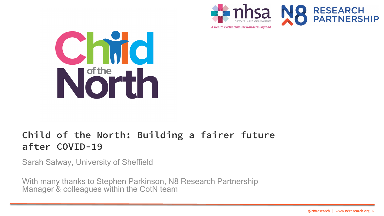



A Health Partnership for Northern England



# **Child of the North: Building a fairer future after COVID-19**

Sarah Salway, University of Sheffield

With many thanks to Stephen Parkinson, N8 Research Partnership Manager & colleagues within the CotN team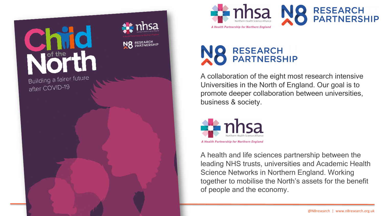







A collaboration of the eight most research intensive Universities in the North of England. Our goal is to promote deeper collaboration between universities, business & society.



A health and life sciences partnership between the leading NHS trusts, universities and Academic Health Science Networks in Northern England. Working together to mobilise the North's assets for the benefit of people and the economy.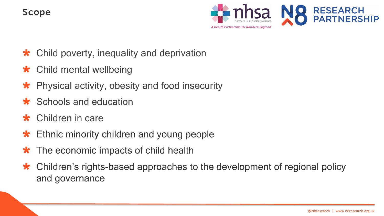### **Scope**



- \* Child poverty, inequality and deprivation
- \* Child mental wellbeing
- Physical activity, obesity and food insecurity
- \* Schools and education
- \* Children in care
- **\*** Ethnic minority children and young people
- **\*** The economic impacts of child health
- \* Children's rights-based approaches to the development of regional policy and governance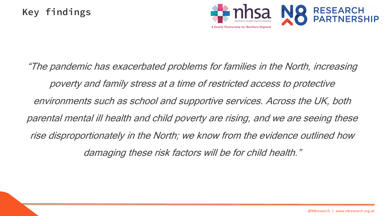

"The pandemic has exacerbated problems for families in the North, increasing poverty and family stress at a time of restricted access to protective environments such as school and supportive services. Across the UK, both parental mental ill health and child poverty are rising, and we are seeing these rise disproportionately in the North; we know from the evidence outlined how damaging these risk factors will be for child health."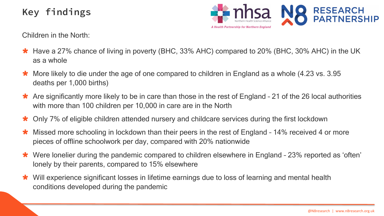# **Key findings**



Children in the North:

- Have a 27% chance of living in poverty (BHC, 33% AHC) compared to 20% (BHC, 30% AHC) in the UK as a whole
- More likely to die under the age of one compared to children in England as a whole (4.23 vs. 3.95 deaths per 1,000 births)
- Are significantly more likely to be in care than those in the rest of England 21 of the 26 local authorities with more than 100 children per 10,000 in care are in the North
- Only 7% of eligible children attended nursery and childcare services during the first lockdown
- Missed more schooling in lockdown than their peers in the rest of England 14% received 4 or more pieces of offline schoolwork per day, compared with 20% nationwide
- Were lonelier during the pandemic compared to children elsewhere in England 23% reported as 'often' lonely by their parents, compared to 15% elsewhere
- Will experience significant losses in lifetime earnings due to loss of learning and mental health conditions developed during the pandemic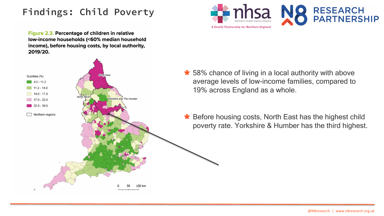# **Findings: Child Poverty**



Figure 2.3. Percentage of children in relative low-income households (<60% median household income), before housing costs, by local authority, 2019/20.



- **★** 58% chance of living in a local authority with above average levels of low-income families, compared to 19% across England as a whole.
- \* Before housing costs, North East has the highest child poverty rate. Yorkshire & Humber has the third highest.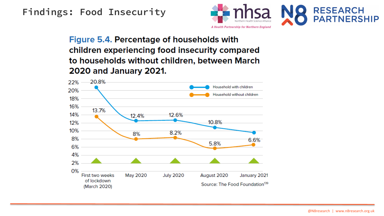### **Findings: Food Insecurity**



Figure 5.4. Percentage of households with children experiencing food insecurity compared to households without children, between March **2020 and January 2021.** 

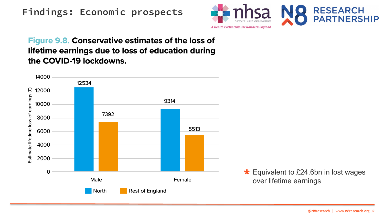### **Findings: Economic prospects**



#### **Figure 9.8. Conservative estimates of the loss of** lifetime earnings due to loss of education during the COVID-19 lockdowns.



**★ Equivalent to £24.6bn in lost wages** over lifetime earnings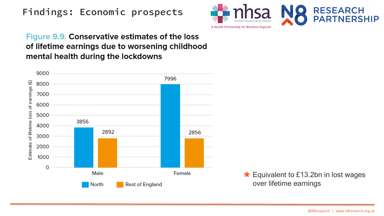## **Findings: Economic prospects**



#### Figure 9.9. Conservative estimates of the loss of lifetime earnings due to worsening childhood mental health during the lockdowns



**★ Equivalent to £13.2bn in lost wages** over lifetime earnings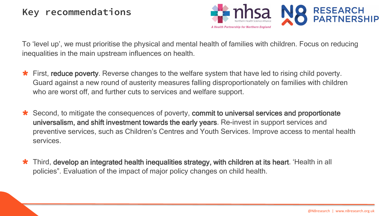

To 'level up', we must prioritise the physical and mental health of families with children. Focus on reducing inequalities in the main upstream influences on health.

- First, reduce poverty. Reverse changes to the welfare system that have led to rising child poverty. Guard against a new round of austerity measures falling disproportionately on families with children who are worst off, and further cuts to services and welfare support.
- Second, to mitigate the consequences of poverty, commit to universal services and proportionate universalism, and shift investment towards the early years. Re-invest in support services and preventive services, such as Children's Centres and Youth Services. Improve access to mental health services.
- Third, develop an integrated health inequalities strategy, with children at its heart. 'Health in all policies". Evaluation of the impact of major policy changes on child health.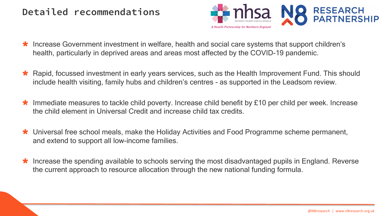### **Detailed recommendations**



- Increase Government investment in welfare, health and social care systems that support children's health, particularly in deprived areas and areas most affected by the COVID-19 pandemic.
- Rapid, focussed investment in early years services, such as the Health Improvement Fund. This should include health visiting, family hubs and children's centres - as supported in the Leadsom review.
- Immediate measures to tackle child poverty. Increase child benefit by £10 per child per week. Increase the child element in Universal Credit and increase child tax credits.
- Universal free school meals, make the Holiday Activities and Food Programme scheme permanent, and extend to support all low-income families.
- \* Increase the spending available to schools serving the most disadvantaged pupils in England. Reverse the current approach to resource allocation through the new national funding formula.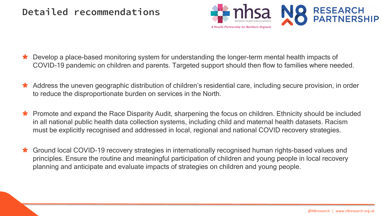### **Detailed recommendations**



- Develop a place-based monitoring system for understanding the longer-term mental health impacts of COVID-19 pandemic on children and parents. Targeted support should then flow to families where needed.
- Address the uneven geographic distribution of children's residential care, including secure provision, in order to reduce the disproportionate burden on services in the North.
- Promote and expand the Race Disparity Audit, sharpening the focus on children. Ethnicity should be included in all national public health data collection systems, including child and maternal health datasets. Racism must be explicitly recognised and addressed in local, regional and national COVID recovery strategies.
- Ground local COVID-19 recovery strategies in internationally recognised human rights-based values and principles. Ensure the routine and meaningful participation of children and young people in local recovery planning and anticipate and evaluate impacts of strategies on children and young people.